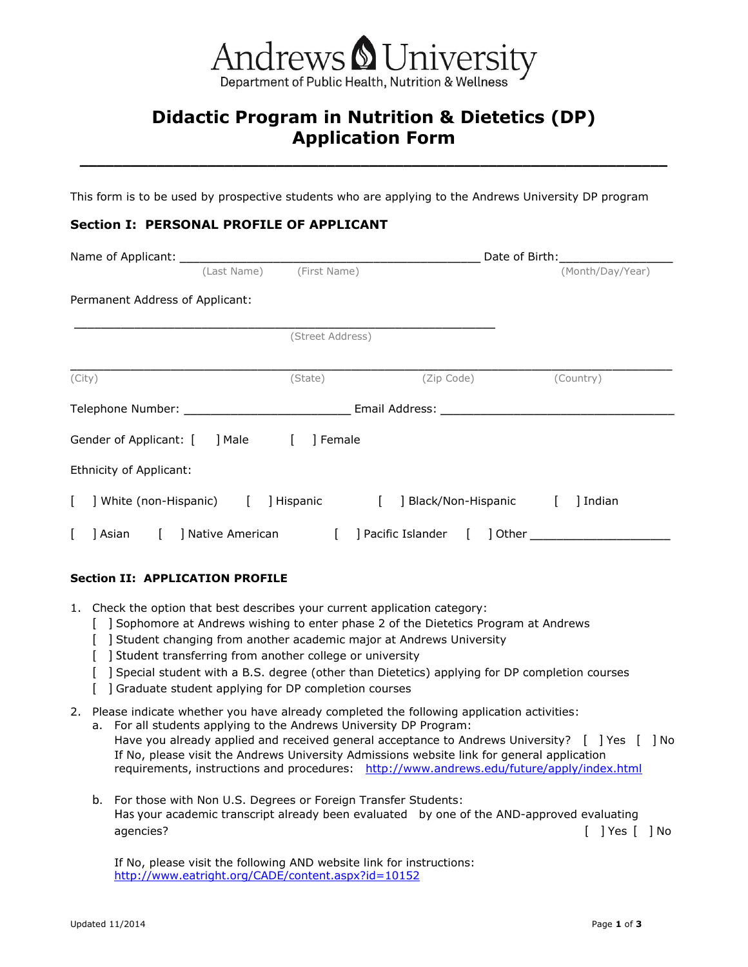

# **Didactic Program in Nutrition & Dietetics (DP) Application Form**

**\_\_\_\_\_\_\_\_\_\_\_\_\_\_\_\_\_\_\_\_\_\_\_\_\_\_\_\_\_\_\_\_\_\_\_\_\_\_\_\_\_\_\_\_\_\_\_\_\_\_\_\_\_\_\_\_\_\_\_\_\_\_\_\_\_\_\_\_\_** 

This form is to be used by prospective students who are applying to the Andrews University DP program

### **Section I: PERSONAL PROFILE OF APPLICANT**

| Name of Applicant:                                                       |                   | Date of Birth:   |                                                                                                                                                                                                                                |                  |  |
|--------------------------------------------------------------------------|-------------------|------------------|--------------------------------------------------------------------------------------------------------------------------------------------------------------------------------------------------------------------------------|------------------|--|
|                                                                          | (Last Name)       | (First Name)     |                                                                                                                                                                                                                                | (Month/Day/Year) |  |
| Permanent Address of Applicant:                                          |                   |                  |                                                                                                                                                                                                                                |                  |  |
|                                                                          |                   | (Street Address) |                                                                                                                                                                                                                                |                  |  |
| (City)                                                                   |                   | (State)          | (Zip Code)                                                                                                                                                                                                                     | (Country)        |  |
| Telephone Number: National Property of the Contract of Telephone Number: |                   |                  | Email Address: The Contract of the Contract of the Contract of the Contract of the Contract of the Contract of the Contract of the Contract of the Contract of the Contract of the Contract of the Contract of the Contract of |                  |  |
| Gender of Applicant: [ ] Male [                                          |                   | ] Female         |                                                                                                                                                                                                                                |                  |  |
| Ethnicity of Applicant:                                                  |                   |                  |                                                                                                                                                                                                                                |                  |  |
| White (non-Hispanic) [                                                   |                   | ] Hispanic       | Black/Non-Hispanic                                                                                                                                                                                                             | ] Indian         |  |
| ] Asian                                                                  | ] Native American |                  | Pacific Islander                                                                                                                                                                                                               | l Other          |  |

#### **Section II: APPLICATION PROFILE**

- 1. Check the option that best describes your current application category:
	- [ ] Sophomore at Andrews wishing to enter phase 2 of the Dietetics Program at Andrews
	- [ ] Student changing from another academic major at Andrews University
	- [ ] Student transferring from another college or university
	- [ ] Special student with a B.S. degree (other than Dietetics) applying for DP completion courses
	- [ ] Graduate student applying for DP completion courses
- 2. Please indicate whether you have already completed the following application activities:
	- a. For all students applying to the Andrews University DP Program: Have you already applied and received general acceptance to Andrews University? [ ] Yes [ ] No If No, please visit the Andrews University Admissions website link for general application requirements, instructions and procedures: <http://www.andrews.edu/future/apply/index.html>
	- b. For those with Non U.S. Degrees or Foreign Transfer Students: Has your academic transcript already been evaluated by one of the AND-approved evaluating agencies? [ ] Yes [ ] No

If No, please visit the following AND website link for instructions: <http://www.eatright.org/CADE/content.aspx?id=10152>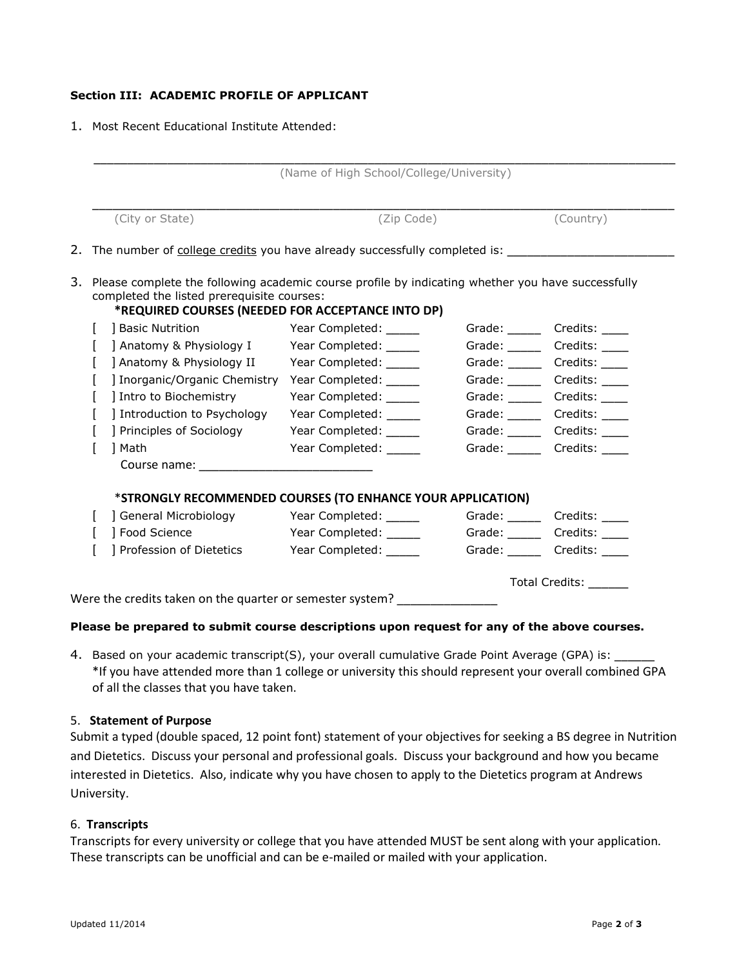#### **Section III: ACADEMIC PROFILE OF APPLICANT**

1. Most Recent Educational Institute Attended:

|                                                                              | (City or State)                                                                                                                                                                                      | (Zip Code)                                    |  | (Country)                     |  |  |  |
|------------------------------------------------------------------------------|------------------------------------------------------------------------------------------------------------------------------------------------------------------------------------------------------|-----------------------------------------------|--|-------------------------------|--|--|--|
| 2. The number of college credits you have already successfully completed is: |                                                                                                                                                                                                      |                                               |  |                               |  |  |  |
| 3.                                                                           | Please complete the following academic course profile by indicating whether you have successfully<br>completed the listed prerequisite courses:<br>*REQUIRED COURSES (NEEDED FOR ACCEPTANCE INTO DP) |                                               |  |                               |  |  |  |
|                                                                              | Basic Nutrition                                                                                                                                                                                      | Year Completed:                               |  | Grade: Credits:               |  |  |  |
|                                                                              | ] Anatomy & Physiology I Year Completed: _____                                                                                                                                                       |                                               |  | Grade: ______ Credits: _____  |  |  |  |
|                                                                              | ] Anatomy & Physiology II Year Completed:                                                                                                                                                            |                                               |  | Grade: _______ Credits: ____  |  |  |  |
|                                                                              | ] Inorganic/Organic Chemistry Year Completed: _____                                                                                                                                                  |                                               |  | Grade: Credits:               |  |  |  |
|                                                                              | Intro to Biochemistry                                                                                                                                                                                | Year Completed: _____                         |  | Grade: _______ Credits: _____ |  |  |  |
|                                                                              | Introduction to Psychology                                                                                                                                                                           | Year Completed:                               |  | Grade: ______ Credits: ____   |  |  |  |
|                                                                              | ] Principles of Sociology                                                                                                                                                                            | Year Completed:                               |  | Grade: Credits:               |  |  |  |
|                                                                              | Math                                                                                                                                                                                                 | Year Completed:                               |  | Grade: Credits:               |  |  |  |
|                                                                              | *STRONGLY RECOMMENDED COURSES (TO ENHANCE YOUR APPLICATION)                                                                                                                                          |                                               |  |                               |  |  |  |
|                                                                              | General Microbiology                                                                                                                                                                                 | Year Completed: <u>Nearly Searn Completed</u> |  | Grade: Credits:               |  |  |  |
|                                                                              | Food Science                                                                                                                                                                                         | Year Completed:                               |  | Grade: Credits:               |  |  |  |
|                                                                              | ] Profession of Dietetics                                                                                                                                                                            | Year Completed:                               |  | Grade: _______ Credits: _____ |  |  |  |
|                                                                              |                                                                                                                                                                                                      |                                               |  | Total Credits:                |  |  |  |

4. Based on your academic transcript(S), your overall cumulative Grade Point Average (GPA) is: \*If you have attended more than 1 college or university this should represent your overall combined GPA of all the classes that you have taken.

#### 5. **Statement of Purpose**

Submit a typed (double spaced, 12 point font) statement of your objectives for seeking a BS degree in Nutrition and Dietetics. Discuss your personal and professional goals. Discuss your background and how you became interested in Dietetics. Also, indicate why you have chosen to apply to the Dietetics program at Andrews University.

#### 6. **Transcripts**

Transcripts for every university or college that you have attended MUST be sent along with your application. These transcripts can be unofficial and can be e-mailed or mailed with your application.